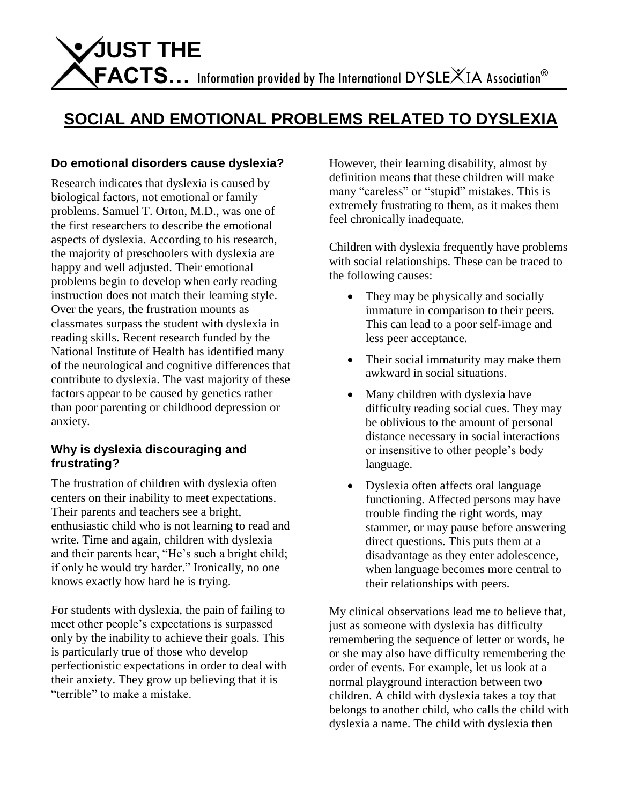# **SOCIAL AND EMOTIONAL PROBLEMS RELATED TO DYSLEXIA**

# **Do emotional disorders cause dyslexia?**

Research indicates that dyslexia is caused by biological factors, not emotional or family problems. Samuel T. Orton, M.D., was one of the first researchers to describe the emotional aspects of dyslexia. According to his research, the majority of preschoolers with dyslexia are happy and well adjusted. Their emotional problems begin to develop when early reading instruction does not match their learning style. Over the years, the frustration mounts as classmates surpass the student with dyslexia in reading skills. Recent research funded by the National Institute of Health has identified many of the neurological and cognitive differences that contribute to dyslexia. The vast majority of these factors appear to be caused by genetics rather than poor parenting or childhood depression or anxiety.

#### **Why is dyslexia discouraging and frustrating?**

The frustration of children with dyslexia often centers on their inability to meet expectations. Their parents and teachers see a bright, enthusiastic child who is not learning to read and write. Time and again, children with dyslexia and their parents hear, "He's such a bright child; if only he would try harder." Ironically, no one knows exactly how hard he is trying.

For students with dyslexia, the pain of failing to meet other people's expectations is surpassed only by the inability to achieve their goals. This is particularly true of those who develop perfectionistic expectations in order to deal with their anxiety. They grow up believing that it is "terrible" to make a mistake.

However, their learning disability, almost by definition means that these children will make many "careless" or "stupid" mistakes. This is extremely frustrating to them, as it makes them feel chronically inadequate.

Children with dyslexia frequently have problems with social relationships. These can be traced to the following causes:

- They may be physically and socially immature in comparison to their peers. This can lead to a poor self-image and less peer acceptance.
- Their social immaturity may make them awkward in social situations.
- Many children with dyslexia have difficulty reading social cues. They may be oblivious to the amount of personal distance necessary in social interactions or insensitive to other people's body language.
- Dyslexia often affects oral language functioning. Affected persons may have trouble finding the right words, may stammer, or may pause before answering direct questions. This puts them at a disadvantage as they enter adolescence, when language becomes more central to their relationships with peers.

My clinical observations lead me to believe that, just as someone with dyslexia has difficulty remembering the sequence of letter or words, he or she may also have difficulty remembering the order of events. For example, let us look at a normal playground interaction between two children. A child with dyslexia takes a toy that belongs to another child, who calls the child with dyslexia a name. The child with dyslexia then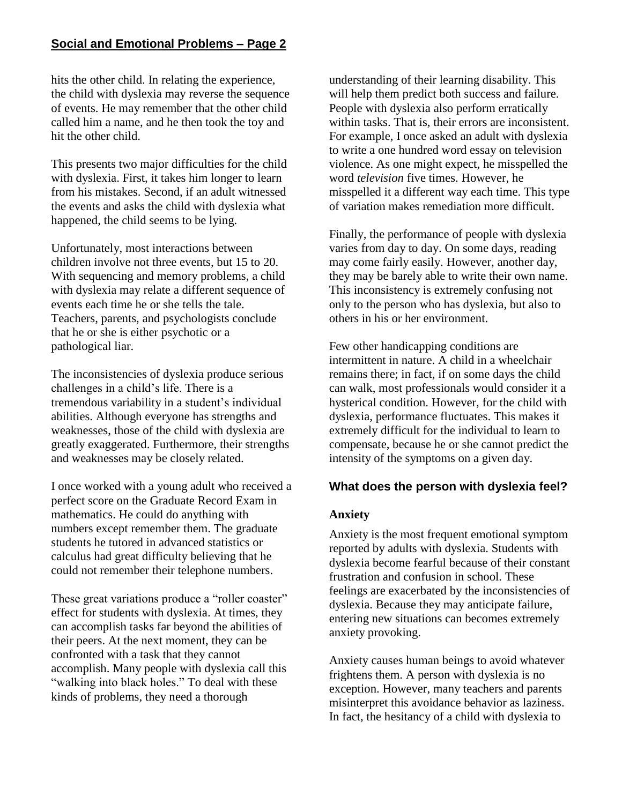### **Social and Emotional Problems – Page 2**

hits the other child. In relating the experience, the child with dyslexia may reverse the sequence of events. He may remember that the other child called him a name, and he then took the toy and hit the other child.

This presents two major difficulties for the child with dyslexia. First, it takes him longer to learn from his mistakes. Second, if an adult witnessed the events and asks the child with dyslexia what happened, the child seems to be lying.

Unfortunately, most interactions between children involve not three events, but 15 to 20. With sequencing and memory problems, a child with dyslexia may relate a different sequence of events each time he or she tells the tale. Teachers, parents, and psychologists conclude that he or she is either psychotic or a pathological liar.

The inconsistencies of dyslexia produce serious challenges in a child's life. There is a tremendous variability in a student's individual abilities. Although everyone has strengths and weaknesses, those of the child with dyslexia are greatly exaggerated. Furthermore, their strengths and weaknesses may be closely related.

I once worked with a young adult who received a perfect score on the Graduate Record Exam in mathematics. He could do anything with numbers except remember them. The graduate students he tutored in advanced statistics or calculus had great difficulty believing that he could not remember their telephone numbers.

These great variations produce a "roller coaster" effect for students with dyslexia. At times, they can accomplish tasks far beyond the abilities of their peers. At the next moment, they can be confronted with a task that they cannot accomplish. Many people with dyslexia call this "walking into black holes." To deal with these kinds of problems, they need a thorough

understanding of their learning disability. This will help them predict both success and failure. People with dyslexia also perform erratically within tasks. That is, their errors are inconsistent. For example, I once asked an adult with dyslexia to write a one hundred word essay on television violence. As one might expect, he misspelled the word *television* five times. However, he misspelled it a different way each time. This type of variation makes remediation more difficult.

Finally, the performance of people with dyslexia varies from day to day. On some days, reading may come fairly easily. However, another day, they may be barely able to write their own name. This inconsistency is extremely confusing not only to the person who has dyslexia, but also to others in his or her environment.

Few other handicapping conditions are intermittent in nature. A child in a wheelchair remains there; in fact, if on some days the child can walk, most professionals would consider it a hysterical condition. However, for the child with dyslexia, performance fluctuates. This makes it extremely difficult for the individual to learn to compensate, because he or she cannot predict the intensity of the symptoms on a given day.

#### **What does the person with dyslexia feel?**

#### **Anxiety**

Anxiety is the most frequent emotional symptom reported by adults with dyslexia. Students with dyslexia become fearful because of their constant frustration and confusion in school. These feelings are exacerbated by the inconsistencies of dyslexia. Because they may anticipate failure, entering new situations can becomes extremely anxiety provoking.

Anxiety causes human beings to avoid whatever frightens them. A person with dyslexia is no exception. However, many teachers and parents misinterpret this avoidance behavior as laziness. In fact, the hesitancy of a child with dyslexia to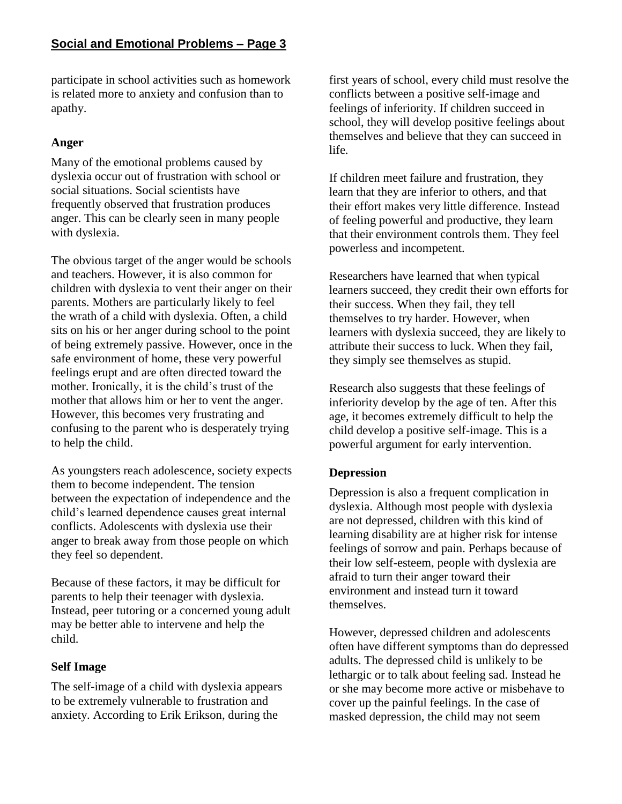participate in school activities such as homework is related more to anxiety and confusion than to apathy.

# **Anger**

Many of the emotional problems caused by dyslexia occur out of frustration with school or social situations. Social scientists have frequently observed that frustration produces anger. This can be clearly seen in many people with dyslexia.

The obvious target of the anger would be schools and teachers. However, it is also common for children with dyslexia to vent their anger on their parents. Mothers are particularly likely to feel the wrath of a child with dyslexia. Often, a child sits on his or her anger during school to the point of being extremely passive. However, once in the safe environment of home, these very powerful feelings erupt and are often directed toward the mother. Ironically, it is the child's trust of the mother that allows him or her to vent the anger. However, this becomes very frustrating and confusing to the parent who is desperately trying to help the child.

As youngsters reach adolescence, society expects them to become independent. The tension between the expectation of independence and the child's learned dependence causes great internal conflicts. Adolescents with dyslexia use their anger to break away from those people on which they feel so dependent.

Because of these factors, it may be difficult for parents to help their teenager with dyslexia. Instead, peer tutoring or a concerned young adult may be better able to intervene and help the child.

# **Self Image**

The self-image of a child with dyslexia appears to be extremely vulnerable to frustration and anxiety. According to Erik Erikson, during the

first years of school, every child must resolve the conflicts between a positive self-image and feelings of inferiority. If children succeed in school, they will develop positive feelings about themselves and believe that they can succeed in life.

If children meet failure and frustration, they learn that they are inferior to others, and that their effort makes very little difference. Instead of feeling powerful and productive, they learn that their environment controls them. They feel powerless and incompetent.

Researchers have learned that when typical learners succeed, they credit their own efforts for their success. When they fail, they tell themselves to try harder. However, when learners with dyslexia succeed, they are likely to attribute their success to luck. When they fail, they simply see themselves as stupid.

Research also suggests that these feelings of inferiority develop by the age of ten. After this age, it becomes extremely difficult to help the child develop a positive self-image. This is a powerful argument for early intervention.

# **Depression**

Depression is also a frequent complication in dyslexia. Although most people with dyslexia are not depressed, children with this kind of learning disability are at higher risk for intense feelings of sorrow and pain. Perhaps because of their low self-esteem, people with dyslexia are afraid to turn their anger toward their environment and instead turn it toward themselves.

However, depressed children and adolescents often have different symptoms than do depressed adults. The depressed child is unlikely to be lethargic or to talk about feeling sad. Instead he or she may become more active or misbehave to cover up the painful feelings. In the case of masked depression, the child may not seem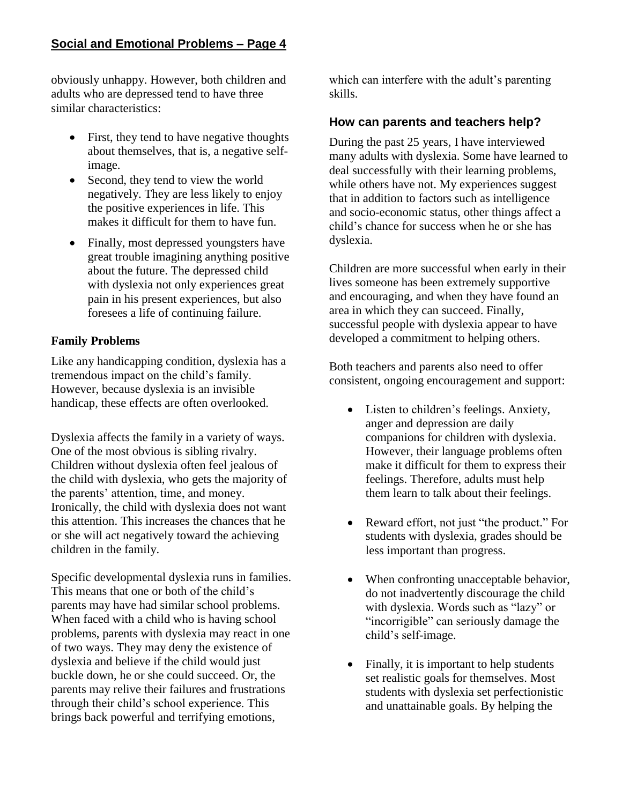# **Social and Emotional Problems – Page 4**

obviously unhappy. However, both children and adults who are depressed tend to have three similar characteristics:

- First, they tend to have negative thoughts about themselves, that is, a negative selfimage.
- Second, they tend to view the world negatively. They are less likely to enjoy the positive experiences in life. This makes it difficult for them to have fun.
- Finally, most depressed youngsters have great trouble imagining anything positive about the future. The depressed child with dyslexia not only experiences great pain in his present experiences, but also foresees a life of continuing failure.

# **Family Problems**

Like any handicapping condition, dyslexia has a tremendous impact on the child's family. However, because dyslexia is an invisible handicap, these effects are often overlooked.

Dyslexia affects the family in a variety of ways. One of the most obvious is sibling rivalry. Children without dyslexia often feel jealous of the child with dyslexia, who gets the majority of the parents' attention, time, and money. Ironically, the child with dyslexia does not want this attention. This increases the chances that he or she will act negatively toward the achieving children in the family.

Specific developmental dyslexia runs in families. This means that one or both of the child's parents may have had similar school problems. When faced with a child who is having school problems, parents with dyslexia may react in one of two ways. They may deny the existence of dyslexia and believe if the child would just buckle down, he or she could succeed. Or, the parents may relive their failures and frustrations through their child's school experience. This brings back powerful and terrifying emotions,

which can interfere with the adult's parenting skills.

### **How can parents and teachers help?**

During the past 25 years, I have interviewed many adults with dyslexia. Some have learned to deal successfully with their learning problems, while others have not. My experiences suggest that in addition to factors such as intelligence and socio-economic status, other things affect a child's chance for success when he or she has dyslexia.

Children are more successful when early in their lives someone has been extremely supportive and encouraging, and when they have found an area in which they can succeed. Finally, successful people with dyslexia appear to have developed a commitment to helping others.

Both teachers and parents also need to offer consistent, ongoing encouragement and support:

- Listen to children's feelings. Anxiety, anger and depression are daily companions for children with dyslexia. However, their language problems often make it difficult for them to express their feelings. Therefore, adults must help them learn to talk about their feelings.
- Reward effort, not just "the product." For students with dyslexia, grades should be less important than progress.
- When confronting unacceptable behavior, do not inadvertently discourage the child with dyslexia. Words such as "lazy" or "incorrigible" can seriously damage the child's self-image.
- Finally, it is important to help students set realistic goals for themselves. Most students with dyslexia set perfectionistic and unattainable goals. By helping the